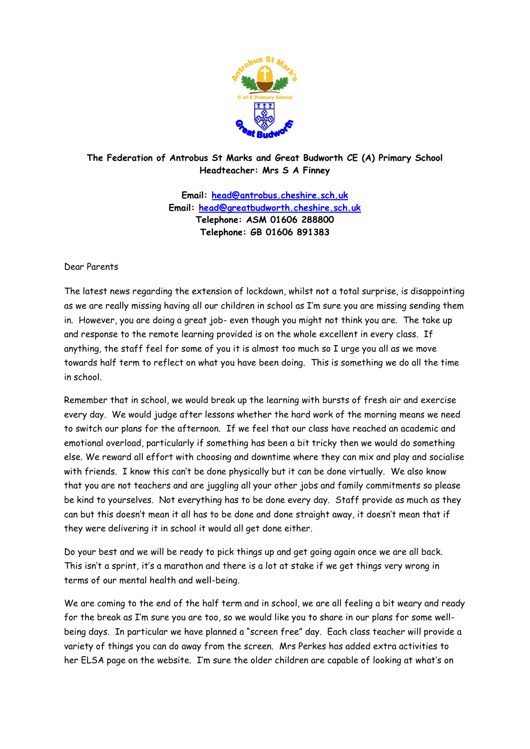

## **The Federation of Antrobus St Marks and Great Budworth CE (A) Primary School Headteacher: Mrs S A Finney**

**Email: [head@antrobus.cheshire.sch.uk](mailto:head@antrobus.cheshire.sch.uk) Email: [head@greatbudworth.cheshire.sch.uk](mailto:head@greatbudworth.cheshire.sch.uk) Telephone: ASM 01606 288800 Telephone: GB 01606 891383**

## Dear Parents

The latest news regarding the extension of lockdown, whilst not a total surprise, is disappointing as we are really missing having all our children in school as I'm sure you are missing sending them in. However, you are doing a great job- even though you might not think you are. The take up and response to the remote learning provided is on the whole excellent in every class. If anything, the staff feel for some of you it is almost too much so I urge you all as we move towards half term to reflect on what you have been doing. This is something we do all the time in school.

Remember that in school, we would break up the learning with bursts of fresh air and exercise every day. We would judge after lessons whether the hard work of the morning means we need to switch our plans for the afternoon. If we feel that our class have reached an academic and emotional overload, particularly if something has been a bit tricky then we would do something else. We reward all effort with choosing and downtime where they can mix and play and socialise with friends. I know this can't be done physically but it can be done virtually. We also know that you are not teachers and are juggling all your other jobs and family commitments so please be kind to yourselves. Not everything has to be done every day. Staff provide as much as they can but this doesn't mean it all has to be done and done straight away, it doesn't mean that if they were delivering it in school it would all get done either.

Do your best and we will be ready to pick things up and get going again once we are all back. This isn't a sprint, it's a marathon and there is a lot at stake if we get things very wrong in terms of our mental health and well-being.

We are coming to the end of the half term and in school, we are all feeling a bit weary and ready for the break as I'm sure you are too, so we would like you to share in our plans for some wellbeing days. In particular we have planned a "screen free" day. Each class teacher will provide a variety of things you can do away from the screen. Mrs Perkes has added extra activities to her ELSA page on the website. I'm sure the older children are capable of looking at what's on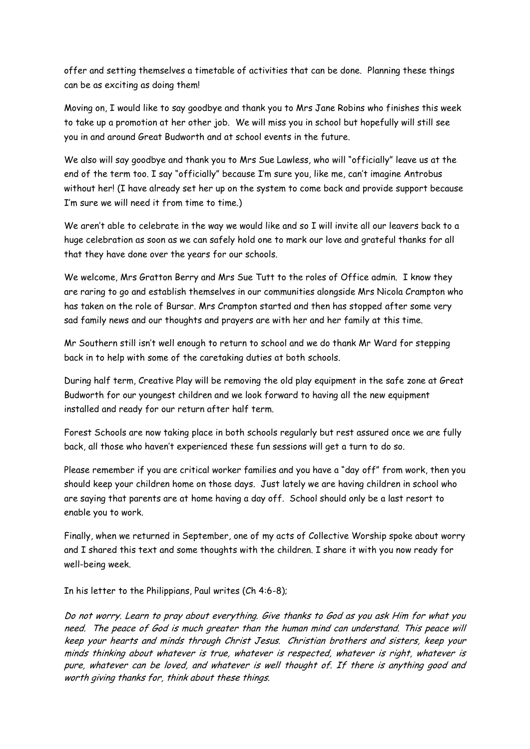offer and setting themselves a timetable of activities that can be done. Planning these things can be as exciting as doing them!

Moving on, I would like to say goodbye and thank you to Mrs Jane Robins who finishes this week to take up a promotion at her other job. We will miss you in school but hopefully will still see you in and around Great Budworth and at school events in the future.

We also will say goodbye and thank you to Mrs Sue Lawless, who will "officially" leave us at the end of the term too. I say "officially" because I'm sure you, like me, can't imagine Antrobus without her! (I have already set her up on the system to come back and provide support because I'm sure we will need it from time to time.)

We aren't able to celebrate in the way we would like and so I will invite all our leavers back to a huge celebration as soon as we can safely hold one to mark our love and grateful thanks for all that they have done over the years for our schools.

We welcome, Mrs Gratton Berry and Mrs Sue Tutt to the roles of Office admin. I know they are raring to go and establish themselves in our communities alongside Mrs Nicola Crampton who has taken on the role of Bursar. Mrs Crampton started and then has stopped after some very sad family news and our thoughts and prayers are with her and her family at this time.

Mr Southern still isn't well enough to return to school and we do thank Mr Ward for stepping back in to help with some of the caretaking duties at both schools.

During half term, Creative Play will be removing the old play equipment in the safe zone at Great Budworth for our youngest children and we look forward to having all the new equipment installed and ready for our return after half term.

Forest Schools are now taking place in both schools regularly but rest assured once we are fully back, all those who haven't experienced these fun sessions will get a turn to do so.

Please remember if you are critical worker families and you have a "day off" from work, then you should keep your children home on those days. Just lately we are having children in school who are saying that parents are at home having a day off. School should only be a last resort to enable you to work.

Finally, when we returned in September, one of my acts of Collective Worship spoke about worry and I shared this text and some thoughts with the children. I share it with you now ready for well-being week.

In his letter to the Philippians, Paul writes (Ch 4:6-8);

Do not worry. Learn to pray about everything. Give thanks to God as you ask Him for what you need. The peace of God is much greater than the human mind can understand. This peace will keep your hearts and minds through Christ Jesus. Christian brothers and sisters, keep your minds thinking about whatever is true, whatever is respected, whatever is right, whatever is pure, whatever can be loved, and whatever is well thought of. If there is anything good and worth giving thanks for, think about these things.